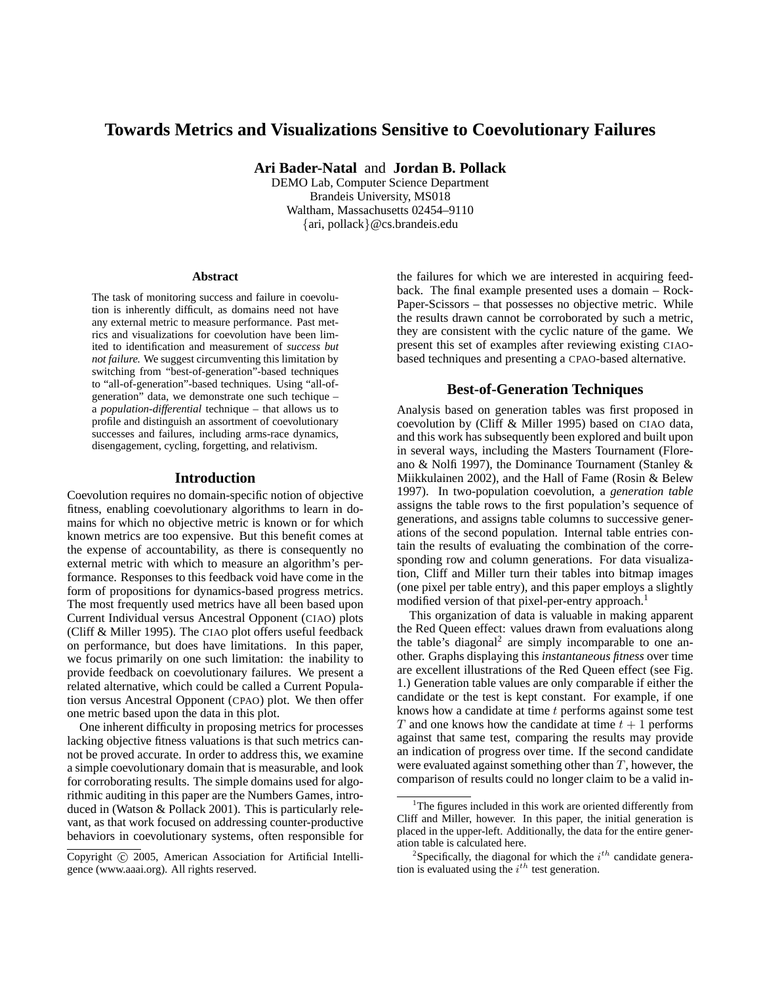# **Towards Metrics and Visualizations Sensitive to Coevolutionary Failures**

**Ari Bader-Natal** and **Jordan B. Pollack**

DEMO Lab, Computer Science Department Brandeis University, MS018 Waltham, Massachusetts 02454–9110 {ari, pollack}@cs.brandeis.edu

#### **Abstract**

The task of monitoring success and failure in coevolution is inherently difficult, as domains need not have any external metric to measure performance. Past metrics and visualizations for coevolution have been limited to identification and measurement of *success but not failure.* We suggest circumventing this limitation by switching from "best-of-generation"-based techniques to "all-of-generation"-based techniques. Using "all-ofgeneration" data, we demonstrate one such techique – a *population-differential* technique – that allows us to profile and distinguish an assortment of coevolutionary successes and failures, including arms-race dynamics, disengagement, cycling, forgetting, and relativism.

#### **Introduction**

Coevolution requires no domain-specific notion of objective fitness, enabling coevolutionary algorithms to learn in domains for which no objective metric is known or for which known metrics are too expensive. But this benefit comes at the expense of accountability, as there is consequently no external metric with which to measure an algorithm's performance. Responses to this feedback void have come in the form of propositions for dynamics-based progress metrics. The most frequently used metrics have all been based upon Current Individual versus Ancestral Opponent (CIAO) plots (Cliff & Miller 1995). The CIAO plot offers useful feedback on performance, but does have limitations. In this paper, we focus primarily on one such limitation: the inability to provide feedback on coevolutionary failures. We present a related alternative, which could be called a Current Population versus Ancestral Opponent (CPAO) plot. We then offer one metric based upon the data in this plot.

One inherent difficulty in proposing metrics for processes lacking objective fitness valuations is that such metrics cannot be proved accurate. In order to address this, we examine a simple coevolutionary domain that is measurable, and look for corroborating results. The simple domains used for algorithmic auditing in this paper are the Numbers Games, introduced in (Watson & Pollack 2001). This is particularly relevant, as that work focused on addressing counter-productive behaviors in coevolutionary systems, often responsible for

the failures for which we are interested in acquiring feedback. The final example presented uses a domain – Rock-Paper-Scissors – that possesses no objective metric. While the results drawn cannot be corroborated by such a metric, they are consistent with the cyclic nature of the game. We present this set of examples after reviewing existing CIAObased techniques and presenting a CPAO-based alternative.

## **Best-of-Generation Techniques**

Analysis based on generation tables was first proposed in coevolution by (Cliff & Miller 1995) based on CIAO data, and this work has subsequently been explored and built upon in several ways, including the Masters Tournament (Floreano & Nolfi 1997), the Dominance Tournament (Stanley & Miikkulainen 2002), and the Hall of Fame (Rosin & Belew 1997). In two-population coevolution, a *generation table* assigns the table rows to the first population's sequence of generations, and assigns table columns to successive generations of the second population. Internal table entries contain the results of evaluating the combination of the corresponding row and column generations. For data visualization, Cliff and Miller turn their tables into bitmap images (one pixel per table entry), and this paper employs a slightly modified version of that pixel-per-entry approach.<sup>1</sup>

This organization of data is valuable in making apparent the Red Queen effect: values drawn from evaluations along the table's diagonal<sup>2</sup> are simply incomparable to one another. Graphs displaying this *instantaneous fitness* over time are excellent illustrations of the Red Queen effect (see Fig. 1.) Generation table values are only comparable if either the candidate or the test is kept constant. For example, if one knows how a candidate at time  $t$  performs against some test T and one knows how the candidate at time  $t + 1$  performs against that same test, comparing the results may provide an indication of progress over time. If the second candidate were evaluated against something other than  $T$ , however, the comparison of results could no longer claim to be a valid in-

Copyright (c) 2005, American Association for Artificial Intelligence (www.aaai.org). All rights reserved.

 $1$ <sup>1</sup>The figures included in this work are oriented differently from Cliff and Miller, however. In this paper, the initial generation is placed in the upper-left. Additionally, the data for the entire generation table is calculated here.

<sup>&</sup>lt;sup>2</sup>Specifically, the diagonal for which the  $i^{th}$  candidate generation is evaluated using the  $i^{th}$  test generation.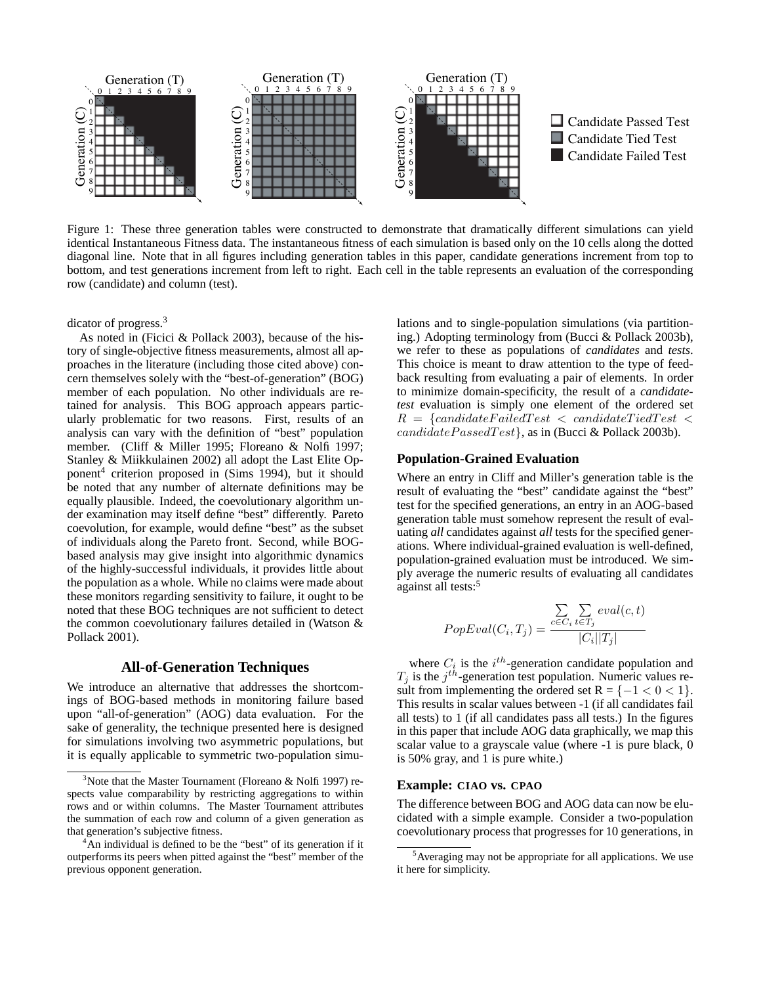

Figure 1: These three generation tables were constructed to demonstrate that dramatically different simulations can yield identical Instantaneous Fitness data. The instantaneous fitness of each simulation is based only on the 10 cells along the dotted diagonal line. Note that in all figures including generation tables in this paper, candidate generations increment from top to bottom, and test generations increment from left to right. Each cell in the table represents an evaluation of the corresponding row (candidate) and column (test).

dicator of progress.<sup>3</sup>

As noted in (Ficici & Pollack 2003), because of the history of single-objective fitness measurements, almost all approaches in the literature (including those cited above) concern themselves solely with the "best-of-generation" (BOG) member of each population. No other individuals are retained for analysis. This BOG approach appears particularly problematic for two reasons. First, results of an analysis can vary with the definition of "best" population member. (Cliff & Miller 1995; Floreano & Nolfi 1997; Stanley & Miikkulainen 2002) all adopt the Last Elite Opponent<sup>4</sup> criterion proposed in (Sims 1994), but it should be noted that any number of alternate definitions may be equally plausible. Indeed, the coevolutionary algorithm under examination may itself define "best" differently. Pareto coevolution, for example, would define "best" as the subset of individuals along the Pareto front. Second, while BOGbased analysis may give insight into algorithmic dynamics of the highly-successful individuals, it provides little about the population as a whole. While no claims were made about these monitors regarding sensitivity to failure, it ought to be noted that these BOG techniques are not sufficient to detect the common coevolutionary failures detailed in (Watson & Pollack 2001).

#### **All-of-Generation Techniques**

We introduce an alternative that addresses the shortcomings of BOG-based methods in monitoring failure based upon "all-of-generation" (AOG) data evaluation. For the sake of generality, the technique presented here is designed for simulations involving two asymmetric populations, but it is equally applicable to symmetric two-population simulations and to single-population simulations (via partitioning.) Adopting terminology from (Bucci & Pollack 2003b), we refer to these as populations of *candidates* and *tests*. This choice is meant to draw attention to the type of feedback resulting from evaluating a pair of elements. In order to minimize domain-specificity, the result of a *candidatetest* evaluation is simply one element of the ordered set  $R = \{candidate Failed Test \ltq candidateTiedTest \ltq$  $candidate Passed Test$ , as in (Bucci & Pollack 2003b).

#### **Population-Grained Evaluation**

Where an entry in Cliff and Miller's generation table is the result of evaluating the "best" candidate against the "best" test for the specified generations, an entry in an AOG-based generation table must somehow represent the result of evaluating *all* candidates against *all* tests for the specified generations. Where individual-grained evaluation is well-defined, population-grained evaluation must be introduced. We simply average the numeric results of evaluating all candidates against all tests:<sup>5</sup>

$$
PopEval(C_i, T_j) = \frac{\sum\limits_{c \in C_i} \sum\limits_{t \in T_j} eval(c, t)}{|C_i||T_j|}
$$

where  $C_i$  is the  $i^{th}$ -generation candidate population and  $T_j$  is the  $j^{th}$ -generation test population. Numeric values result from implementing the ordered set  $R = \{-1 < 0 < 1\}.$ This results in scalar values between -1 (if all candidates fail all tests) to 1 (if all candidates pass all tests.) In the figures in this paper that include AOG data graphically, we map this scalar value to a grayscale value (where -1 is pure black, 0 is 50% gray, and 1 is pure white.)

## **Example: CIAO vs. CPAO**

The difference between BOG and AOG data can now be elucidated with a simple example. Consider a two-population coevolutionary process that progresses for 10 generations, in

<sup>&</sup>lt;sup>3</sup>Note that the Master Tournament (Floreano & Nolfi 1997) respects value comparability by restricting aggregations to within rows and or within columns. The Master Tournament attributes the summation of each row and column of a given generation as that generation's subjective fitness.

<sup>&</sup>lt;sup>4</sup>An individual is defined to be the "best" of its generation if it outperforms its peers when pitted against the "best" member of the previous opponent generation.

 $<sup>5</sup>$ Averaging may not be appropriate for all applications. We use</sup> it here for simplicity.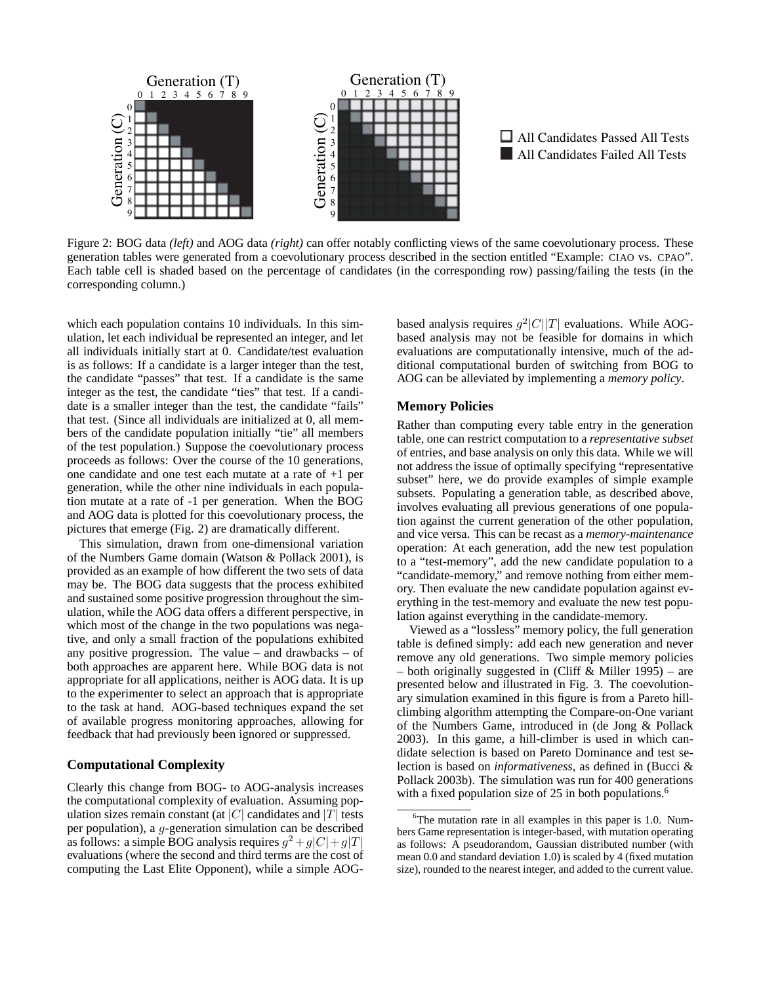



Figure 2: BOG data *(left)* and AOG data *(right)* can offer notably conflicting views of the same coevolutionary process. These generation tables were generated from a coevolutionary process described in the section entitled "Example: CIAO vs. CPAO". Each table cell is shaded based on the percentage of candidates (in the corresponding row) passing/failing the tests (in the corresponding column.)

which each population contains 10 individuals. In this simulation, let each individual be represented an integer, and let all individuals initially start at 0. Candidate/test evaluation is as follows: If a candidate is a larger integer than the test, the candidate "passes" that test. If a candidate is the same integer as the test, the candidate "ties" that test. If a candidate is a smaller integer than the test, the candidate "fails" that test. (Since all individuals are initialized at 0, all members of the candidate population initially "tie" all members of the test population.) Suppose the coevolutionary process proceeds as follows: Over the course of the 10 generations, one candidate and one test each mutate at a rate of +1 per generation, while the other nine individuals in each population mutate at a rate of -1 per generation. When the BOG and AOG data is plotted for this coevolutionary process, the pictures that emerge (Fig. 2) are dramatically different.

This simulation, drawn from one-dimensional variation of the Numbers Game domain (Watson & Pollack 2001), is provided as an example of how different the two sets of data may be. The BOG data suggests that the process exhibited and sustained some positive progression throughout the simulation, while the AOG data offers a different perspective, in which most of the change in the two populations was negative, and only a small fraction of the populations exhibited any positive progression. The value – and drawbacks – of both approaches are apparent here. While BOG data is not appropriate for all applications, neither is AOG data. It is up to the experimenter to select an approach that is appropriate to the task at hand. AOG-based techniques expand the set of available progress monitoring approaches, allowing for feedback that had previously been ignored or suppressed.

## **Computational Complexity**

Clearly this change from BOG- to AOG-analysis increases the computational complexity of evaluation. Assuming population sizes remain constant (at |C| candidates and |T| tests per population), a g-generation simulation can be described as follows: a simple BOG analysis requires  $g^2 + g|C| + g|T|$ evaluations (where the second and third terms are the cost of computing the Last Elite Opponent), while a simple AOG-

based analysis requires  $g^2|C||T|$  evaluations. While AOGbased analysis may not be feasible for domains in which evaluations are computationally intensive, much of the additional computational burden of switching from BOG to AOG can be alleviated by implementing a *memory policy*.

#### **Memory Policies**

Rather than computing every table entry in the generation table, one can restrict computation to a *representative subset* of entries, and base analysis on only this data. While we will not address the issue of optimally specifying "representative subset" here, we do provide examples of simple example subsets. Populating a generation table, as described above, involves evaluating all previous generations of one population against the current generation of the other population, and vice versa. This can be recast as a *memory-maintenance* operation: At each generation, add the new test population to a "test-memory", add the new candidate population to a "candidate-memory," and remove nothing from either memory. Then evaluate the new candidate population against everything in the test-memory and evaluate the new test population against everything in the candidate-memory.

Viewed as a "lossless" memory policy, the full generation table is defined simply: add each new generation and never remove any old generations. Two simple memory policies – both originally suggested in (Cliff & Miller 1995) – are presented below and illustrated in Fig. 3. The coevolutionary simulation examined in this figure is from a Pareto hillclimbing algorithm attempting the Compare-on-One variant of the Numbers Game, introduced in (de Jong & Pollack 2003). In this game, a hill-climber is used in which candidate selection is based on Pareto Dominance and test selection is based on *informativeness*, as defined in (Bucci & Pollack 2003b). The simulation was run for 400 generations with a fixed population size of 25 in both populations.<sup>6</sup>

 $6$ The mutation rate in all examples in this paper is 1.0. Numbers Game representation is integer-based, with mutation operating as follows: A pseudorandom, Gaussian distributed number (with mean 0.0 and standard deviation 1.0) is scaled by 4 (fixed mutation size), rounded to the nearest integer, and added to the current value.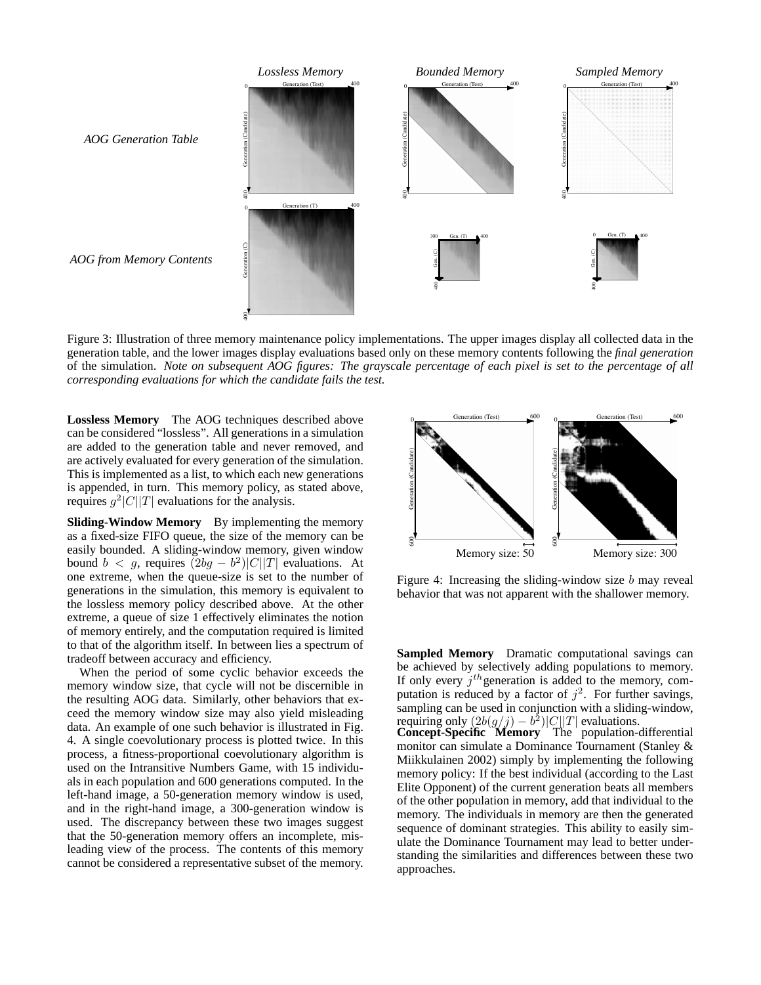

Figure 3: Illustration of three memory maintenance policy implementations. The upper images display all collected data in the generation table, and the lower images display evaluations based only on these memory contents following the *final generation* of the simulation. *Note on subsequent AOG figures: The grayscale percentage of each pixel is set to the percentage of all corresponding evaluations for which the candidate fails the test.*

**Lossless Memory** The AOG techniques described above can be considered "lossless". All generations in a simulation are added to the generation table and never removed, and are actively evaluated for every generation of the simulation. This is implemented as a list, to which each new generations is appended, in turn. This memory policy, as stated above, requires  $g^2|C||T|$  evaluations for the analysis.

**Sliding-Window Memory** By implementing the memory as a fixed-size FIFO queue, the size of the memory can be easily bounded. A sliding-window memory, given window bound  $b < g$ , requires  $(2bg - b^2)|C||T|$  evaluations. At one extreme, when the queue-size is set to the number of generations in the simulation, this memory is equivalent to the lossless memory policy described above. At the other extreme, a queue of size 1 effectively eliminates the notion of memory entirely, and the computation required is limited to that of the algorithm itself. In between lies a spectrum of tradeoff between accuracy and efficiency.

When the period of some cyclic behavior exceeds the memory window size, that cycle will not be discernible in the resulting AOG data. Similarly, other behaviors that exceed the memory window size may also yield misleading data. An example of one such behavior is illustrated in Fig. 4. A single coevolutionary process is plotted twice. In this process, a fitness-proportional coevolutionary algorithm is used on the Intransitive Numbers Game, with 15 individuals in each population and 600 generations computed. In the left-hand image, a 50-generation memory window is used, and in the right-hand image, a 300-generation window is used. The discrepancy between these two images suggest that the 50-generation memory offers an incomplete, misleading view of the process. The contents of this memory cannot be considered a representative subset of the memory.



Figure 4: Increasing the sliding-window size  $b$  may reveal behavior that was not apparent with the shallower memory.

**Sampled Memory** Dramatic computational savings can be achieved by selectively adding populations to memory. If only every  $j<sup>th</sup>$  generation is added to the memory, computation is reduced by a factor of  $j^2$ . For further savings, sampling can be used in conjunction with a sliding-window, requiring only  $(2b(g/j) - b^2)|C||T|$  evaluations. **Concept-Specific Memory** The population-differential monitor can simulate a Dominance Tournament (Stanley & Miikkulainen 2002) simply by implementing the following memory policy: If the best individual (according to the Last Elite Opponent) of the current generation beats all members of the other population in memory, add that individual to the memory. The individuals in memory are then the generated sequence of dominant strategies. This ability to easily simulate the Dominance Tournament may lead to better understanding the similarities and differences between these two approaches.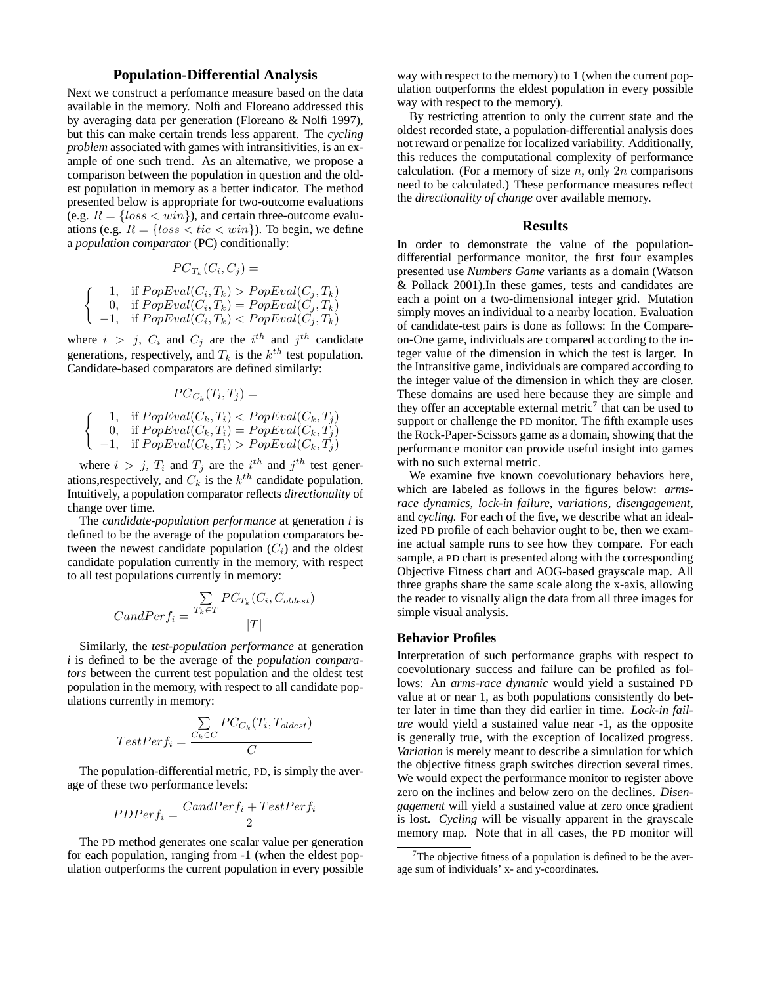### **Population-Differential Analysis**

Next we construct a perfomance measure based on the data available in the memory. Nolfi and Floreano addressed this by averaging data per generation (Floreano & Nolfi 1997), but this can make certain trends less apparent. The *cycling problem* associated with games with intransitivities, is an example of one such trend. As an alternative, we propose a comparison between the population in question and the oldest population in memory as a better indicator. The method presented below is appropriate for two-outcome evaluations (e.g.  $R = \{loss < win\}$ ), and certain three-outcome evaluations (e.g.  $R = \{loss < tie < win\})$ ). To begin, we define a *population comparator* (PC) conditionally:

$$
PC_{T_k}(C_i, C_j) =
$$

$$
\begin{cases}\n1, & \text{if } PopEval(C_i, T_k) > PopEval(C_j, T_k) \\
0, & \text{if } PopEval(C_i, T_k) = PopEval(C_j, T_k) \\
-1, & \text{if } PopEval(C_i, T_k) < PopEval(C_j, T_k)\n\end{cases}
$$

where  $i > j$ ,  $C_i$  and  $C_j$  are the  $i<sup>th</sup>$  and  $j<sup>th</sup>$  candidate generations, respectively, and  $T_k$  is the  $k^{th}$  test population. Candidate-based comparators are defined similarly:

$$
PC_{C_k}(T_i, T_j) =
$$
\n
$$
\begin{cases}\n1, & \text{if } PopEval(C_k, T_i) < PopEval(C_k, T_j) \\
0, & \text{if } PopEval(C_k, T_i) = PopEval(C_k, T_j) \\
-1, & \text{if } PopEval(C_k, T_i) > PopEval(C_k, T_j)\n\end{cases}
$$

where  $i > j$ ,  $T_i$  and  $T_j$  are the  $i^{th}$  and  $j^{th}$  test generations, respectively, and  $C_k$  is the  $k^{th}$  candidate population. Intuitively, a population comparator reflects *directionality* of change over time.

The *candidate-population performance* at generation *i* is defined to be the average of the population comparators between the newest candidate population  $(C_i)$  and the oldest candidate population currently in the memory, with respect to all test populations currently in memory:

$$
CandPerf_i = \frac{\sum\limits_{T_k \in T} PC_{T_k}(C_i, C_{oldest})}{|T|}
$$

Similarly, the *test-population performance* at generation *i* is defined to be the average of the *population comparators* between the current test population and the oldest test population in the memory, with respect to all candidate populations currently in memory:

$$
TestPerf_i = \frac{\sum\limits_{C_k \in C} PC_{C_k}(T_i, T_{oldest})}{|C|}
$$

The population-differential metric, PD, is simply the average of these two performance levels:

$$
PDFer f_i = \frac{CandPerf_i+TestPerf_i}{2}
$$

The PD method generates one scalar value per generation for each population, ranging from -1 (when the eldest population outperforms the current population in every possible way with respect to the memory) to 1 (when the current population outperforms the eldest population in every possible way with respect to the memory).

By restricting attention to only the current state and the oldest recorded state, a population-differential analysis does not reward or penalize for localized variability. Additionally, this reduces the computational complexity of performance calculation. (For a memory of size  $n$ , only  $2n$  comparisons need to be calculated.) These performance measures reflect the *directionality of change* over available memory.

### **Results**

In order to demonstrate the value of the populationdifferential performance monitor, the first four examples presented use *Numbers Game* variants as a domain (Watson & Pollack 2001).In these games, tests and candidates are each a point on a two-dimensional integer grid. Mutation simply moves an individual to a nearby location. Evaluation of candidate-test pairs is done as follows: In the Compareon-One game, individuals are compared according to the integer value of the dimension in which the test is larger. In the Intransitive game, individuals are compared according to the integer value of the dimension in which they are closer. These domains are used here because they are simple and they offer an acceptable external metric<sup>7</sup> that can be used to support or challenge the PD monitor. The fifth example uses the Rock-Paper-Scissors game as a domain, showing that the performance monitor can provide useful insight into games with no such external metric.

We examine five known coevolutionary behaviors here, which are labeled as follows in the figures below: *armsrace dynamics, lock-in failure, variations, disengagement,* and *cycling.* For each of the five, we describe what an idealized PD profile of each behavior ought to be, then we examine actual sample runs to see how they compare. For each sample, a PD chart is presented along with the corresponding Objective Fitness chart and AOG-based grayscale map. All three graphs share the same scale along the x-axis, allowing the reader to visually align the data from all three images for simple visual analysis.

#### **Behavior Profiles**

Interpretation of such performance graphs with respect to coevolutionary success and failure can be profiled as follows: An *arms-race dynamic* would yield a sustained PD value at or near 1, as both populations consistently do better later in time than they did earlier in time. *Lock-in failure* would yield a sustained value near -1, as the opposite is generally true, with the exception of localized progress. *Variation* is merely meant to describe a simulation for which the objective fitness graph switches direction several times. We would expect the performance monitor to register above zero on the inclines and below zero on the declines. *Disengagement* will yield a sustained value at zero once gradient is lost. *Cycling* will be visually apparent in the grayscale memory map. Note that in all cases, the PD monitor will

<sup>&</sup>lt;sup>7</sup>The objective fitness of a population is defined to be the average sum of individuals' x- and y-coordinates.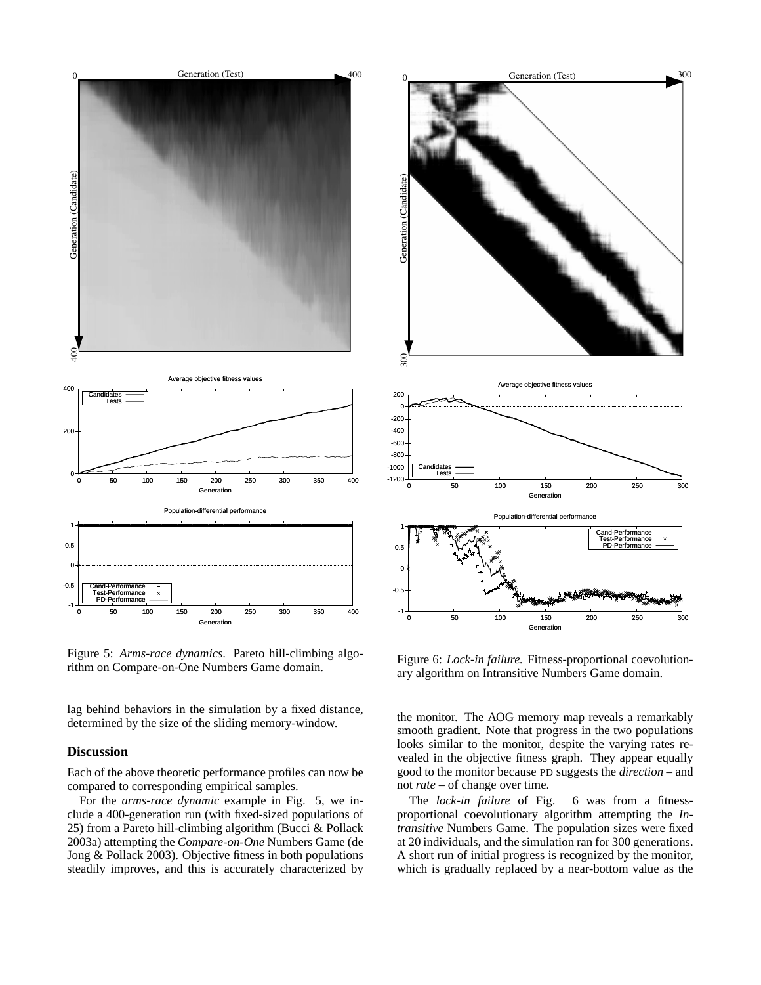

Figure 5: *Arms-race dynamics*. Pareto hill-climbing algorithm on Compare-on-One Numbers Game domain.

lag behind behaviors in the simulation by a fixed distance, determined by the size of the sliding memory-window.

#### **Discussion**

Each of the above theoretic performance profiles can now be compared to corresponding empirical samples.

For the *arms-race dynamic* example in Fig. 5, we include a 400-generation run (with fixed-sized populations of 25) from a Pareto hill-climbing algorithm (Bucci & Pollack 2003a) attempting the *Compare-on-One* Numbers Game (de Jong & Pollack 2003). Objective fitness in both populations steadily improves, and this is accurately characterized by



Figure 6: *Lock-in failure.* Fitness-proportional coevolutionary algorithm on Intransitive Numbers Game domain.

the monitor. The AOG memory map reveals a remarkably smooth gradient. Note that progress in the two populations looks similar to the monitor, despite the varying rates revealed in the objective fitness graph. They appear equally good to the monitor because PD suggests the *direction* – and not *rate* – of change over time.

The *lock-in failure* of Fig. 6 was from a fitnessproportional coevolutionary algorithm attempting the *Intransitive* Numbers Game. The population sizes were fixed at 20 individuals, and the simulation ran for 300 generations. A short run of initial progress is recognized by the monitor, which is gradually replaced by a near-bottom value as the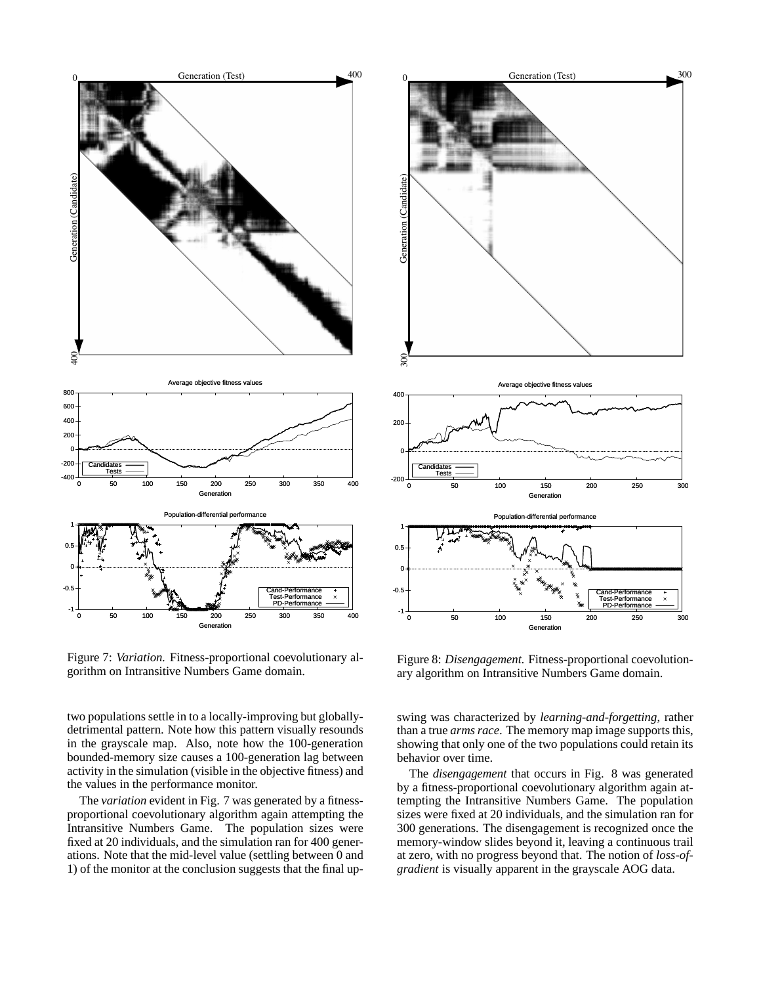

Figure 7: *Variation.* Fitness-proportional coevolutionary algorithm on Intransitive Numbers Game domain.

two populations settle in to a locally-improving but globallydetrimental pattern. Note how this pattern visually resounds in the grayscale map. Also, note how the 100-generation bounded-memory size causes a 100-generation lag between activity in the simulation (visible in the objective fitness) and the values in the performance monitor.

The *variation* evident in Fig. 7 was generated by a fitnessproportional coevolutionary algorithm again attempting the Intransitive Numbers Game. The population sizes were fixed at 20 individuals, and the simulation ran for 400 generations. Note that the mid-level value (settling between 0 and 1) of the monitor at the conclusion suggests that the final up-



Figure 8: *Disengagement.* Fitness-proportional coevolutionary algorithm on Intransitive Numbers Game domain.

swing was characterized by *learning-and-forgetting*, rather than a true *arms race*. The memory map image supports this, showing that only one of the two populations could retain its behavior over time.

The *disengagement* that occurs in Fig. 8 was generated by a fitness-proportional coevolutionary algorithm again attempting the Intransitive Numbers Game. The population sizes were fixed at 20 individuals, and the simulation ran for 300 generations. The disengagement is recognized once the memory-window slides beyond it, leaving a continuous trail at zero, with no progress beyond that. The notion of *loss-ofgradient* is visually apparent in the grayscale AOG data.